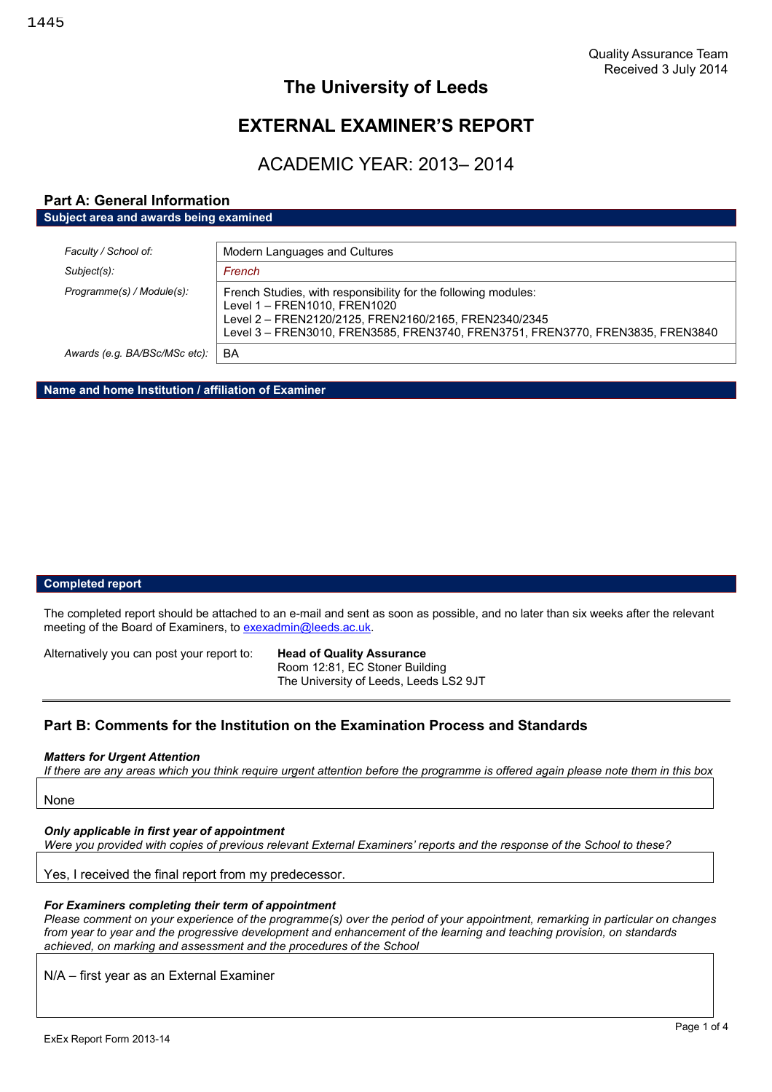## **The University of Leeds**

# **EXTERNAL EXAMINER'S REPORT**

# ACADEMIC YEAR: 2013– 2014

## **Part A: General Information Subject area and awards being examined**

| Faculty / School of:          | Modern Languages and Cultures                                                                                                                                                                                                             |
|-------------------------------|-------------------------------------------------------------------------------------------------------------------------------------------------------------------------------------------------------------------------------------------|
| Subject(s):                   | French                                                                                                                                                                                                                                    |
| Programme(s) / Module(s):     | French Studies, with responsibility for the following modules:<br>Level 1 - FREN1010, FREN1020<br>Level 2 - FREN2120/2125, FREN2160/2165, FREN2340/2345<br>Level 3 - FREN3010, FREN3585, FREN3740, FREN3751, FREN3770, FREN3835, FREN3840 |
| Awards (e.g. BA/BSc/MSc etc): | BA                                                                                                                                                                                                                                        |

**Name and home Institution / affiliation of Examiner**

## **Completed report**

The completed report should be attached to an e-mail and sent as soon as possible, and no later than six weeks after the relevant meeting of the Board of Examiners, to exexadmin@leeds.ac.uk.

Alternatively you can post your report to: **Head of Quality Assurance**

Room 12:81, EC Stoner Building The University of Leeds, Leeds LS2 9JT

## **Part B: Comments for the Institution on the Examination Process and Standards**

## *Matters for Urgent Attention*

*If there are any areas which you think require urgent attention before the programme is offered again please note them in this box*

None

#### *Only applicable in first year of appointment*

*Were you provided with copies of previous relevant External Examiners' reports and the response of the School to these?*

Yes, I received the final report from my predecessor.

#### *For Examiners completing their term of appointment*

*Please comment on your experience of the programme(s) over the period of your appointment, remarking in particular on changes from year to year and the progressive development and enhancement of the learning and teaching provision, on standards achieved, on marking and assessment and the procedures of the School*

N/A – first year as an External Examiner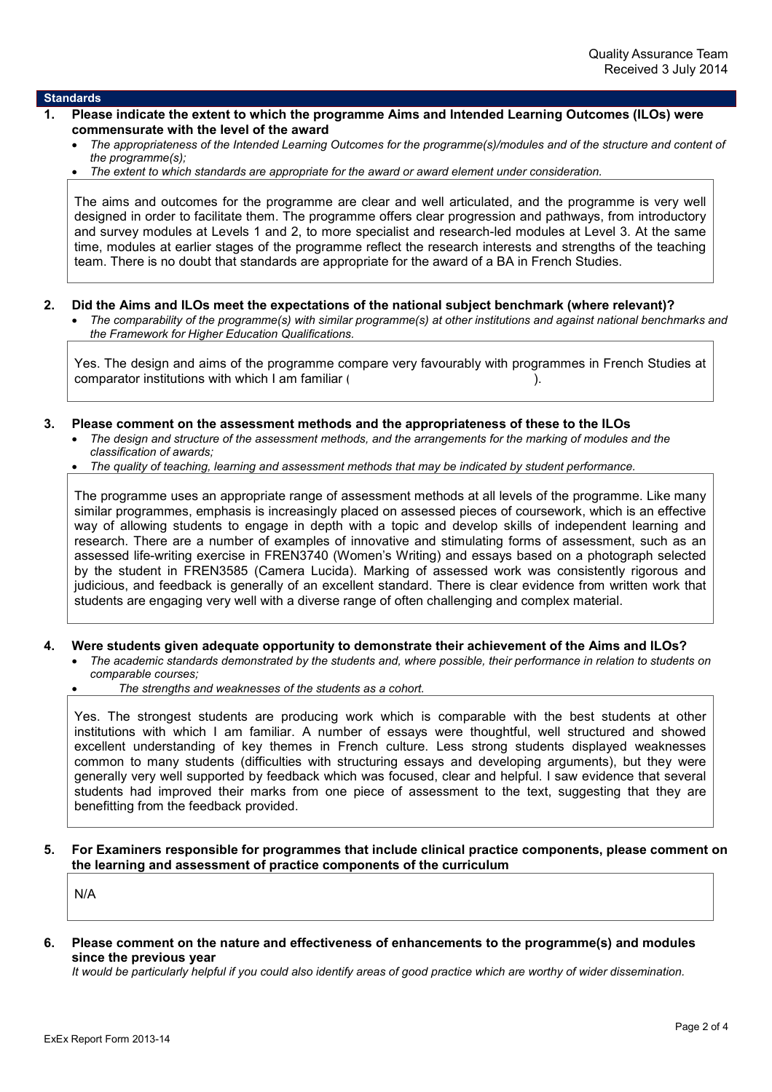### **Standards**

- **1. Please indicate the extent to which the programme Aims and Intended Learning Outcomes (ILOs) were commensurate with the level of the award**
	- *The appropriateness of the Intended Learning Outcomes for the programme(s)/modules and of the structure and content of the programme(s);*
	- *The extent to which standards are appropriate for the award or award element under consideration.*

The aims and outcomes for the programme are clear and well articulated, and the programme is very well designed in order to facilitate them. The programme offers clear progression and pathways, from introductory and survey modules at Levels 1 and 2, to more specialist and research-led modules at Level 3. At the same time, modules at earlier stages of the programme reflect the research interests and strengths of the teaching team. There is no doubt that standards are appropriate for the award of a BA in French Studies.

- **2. Did the Aims and ILOs meet the expectations of the national subject benchmark (where relevant)?**
	- *The comparability of the programme(s) with similar programme(s) at other institutions and against national benchmarks and the Framework for Higher Education Qualifications.*

Yes. The design and aims of the programme compare very favourably with programmes in French Studies at comparator institutions with which I am familiar  $($ 

- **3. Please comment on the assessment methods and the appropriateness of these to the ILOs**
	- *The design and structure of the assessment methods, and the arrangements for the marking of modules and the classification of awards;*
	- *The quality of teaching, learning and assessment methods that may be indicated by student performance.*

The programme uses an appropriate range of assessment methods at all levels of the programme. Like many similar programmes, emphasis is increasingly placed on assessed pieces of coursework, which is an effective way of allowing students to engage in depth with a topic and develop skills of independent learning and research. There are a number of examples of innovative and stimulating forms of assessment, such as an assessed life-writing exercise in FREN3740 (Women's Writing) and essays based on a photograph selected by the student in FREN3585 (Camera Lucida). Marking of assessed work was consistently rigorous and judicious, and feedback is generally of an excellent standard. There is clear evidence from written work that students are engaging very well with a diverse range of often challenging and complex material.

- **4. Were students given adequate opportunity to demonstrate their achievement of the Aims and ILOs?**
	- *The academic standards demonstrated by the students and, where possible, their performance in relation to students on comparable courses;*
	- *The strengths and weaknesses of the students as a cohort.*

Yes. The strongest students are producing work which is comparable with the best students at other institutions with which I am familiar. A number of essays were thoughtful, well structured and showed excellent understanding of key themes in French culture. Less strong students displayed weaknesses common to many students (difficulties with structuring essays and developing arguments), but they were generally very well supported by feedback which was focused, clear and helpful. I saw evidence that several students had improved their marks from one piece of assessment to the text, suggesting that they are benefitting from the feedback provided.

**5. For Examiners responsible for programmes that include clinical practice components, please comment on the learning and assessment of practice components of the curriculum**

N/A

**6. Please comment on the nature and effectiveness of enhancements to the programme(s) and modules since the previous year**

*It would be particularly helpful if you could also identify areas of good practice which are worthy of wider dissemination.*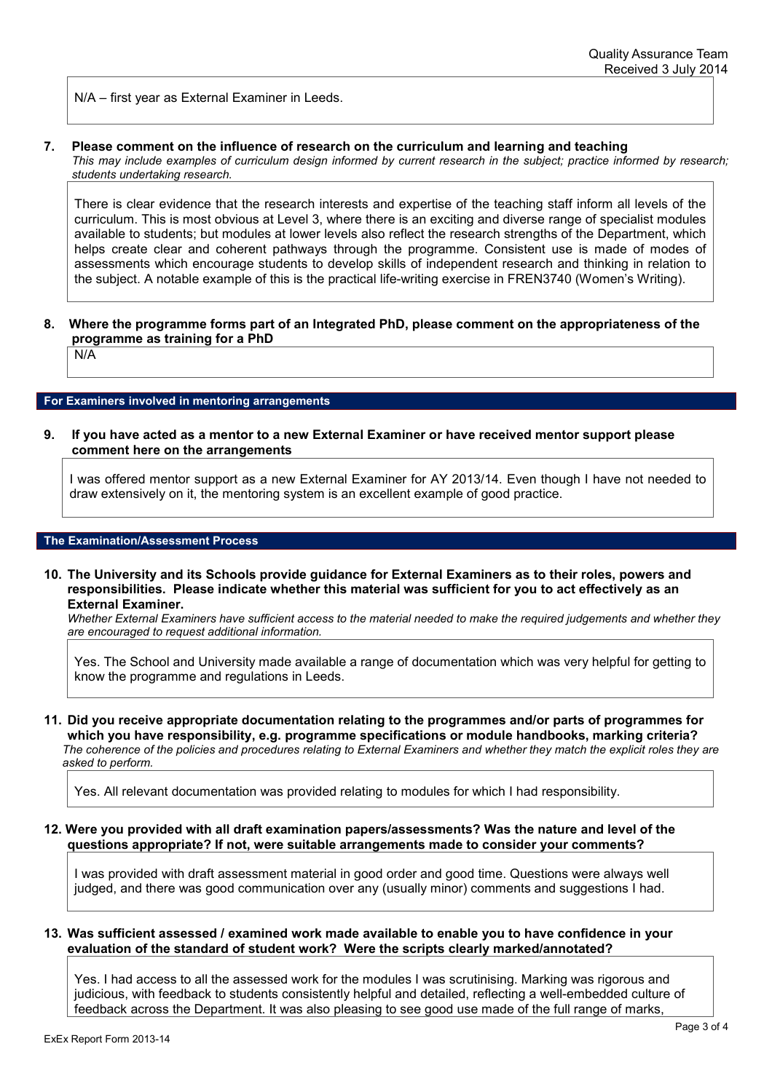N/A – first year as External Examiner in Leeds.

### **7. Please comment on the influence of research on the curriculum and learning and teaching**

*This may include examples of curriculum design informed by current research in the subject; practice informed by research; students undertaking research.*

There is clear evidence that the research interests and expertise of the teaching staff inform all levels of the curriculum. This is most obvious at Level 3, where there is an exciting and diverse range of specialist modules available to students; but modules at lower levels also reflect the research strengths of the Department, which helps create clear and coherent pathways through the programme. Consistent use is made of modes of assessments which encourage students to develop skills of independent research and thinking in relation to the subject. A notable example of this is the practical life-writing exercise in FREN3740 (Women's Writing).

## **8. Where the programme forms part of an Integrated PhD, please comment on the appropriateness of the programme as training for a PhD**

N/A

#### **For Examiners involved in mentoring arrangements**

**9. If you have acted as a mentor to a new External Examiner or have received mentor support please comment here on the arrangements**

I was offered mentor support as a new External Examiner for AY 2013/14. Even though I have not needed to draw extensively on it, the mentoring system is an excellent example of good practice.

#### **The Examination/Assessment Process**

#### **10. The University and its Schools provide guidance for External Examiners as to their roles, powers and responsibilities. Please indicate whether this material was sufficient for you to act effectively as an External Examiner.**

*Whether External Examiners have sufficient access to the material needed to make the required judgements and whether they are encouraged to request additional information.*

Yes. The School and University made available a range of documentation which was very helpful for getting to know the programme and regulations in Leeds.

**11. Did you receive appropriate documentation relating to the programmes and/or parts of programmes for which you have responsibility, e.g. programme specifications or module handbooks, marking criteria?** *The coherence of the policies and procedures relating to External Examiners and whether they match the explicit roles they are asked to perform.*

Yes. All relevant documentation was provided relating to modules for which I had responsibility.

### **12. Were you provided with all draft examination papers/assessments? Was the nature and level of the questions appropriate? If not, were suitable arrangements made to consider your comments?**

I was provided with draft assessment material in good order and good time. Questions were always well judged, and there was good communication over any (usually minor) comments and suggestions I had.

### **13. Was sufficient assessed / examined work made available to enable you to have confidence in your evaluation of the standard of student work? Were the scripts clearly marked/annotated?**

Yes. I had access to all the assessed work for the modules I was scrutinising. Marking was rigorous and judicious, with feedback to students consistently helpful and detailed, reflecting a well-embedded culture of feedback across the Department. It was also pleasing to see good use made of the full range of marks,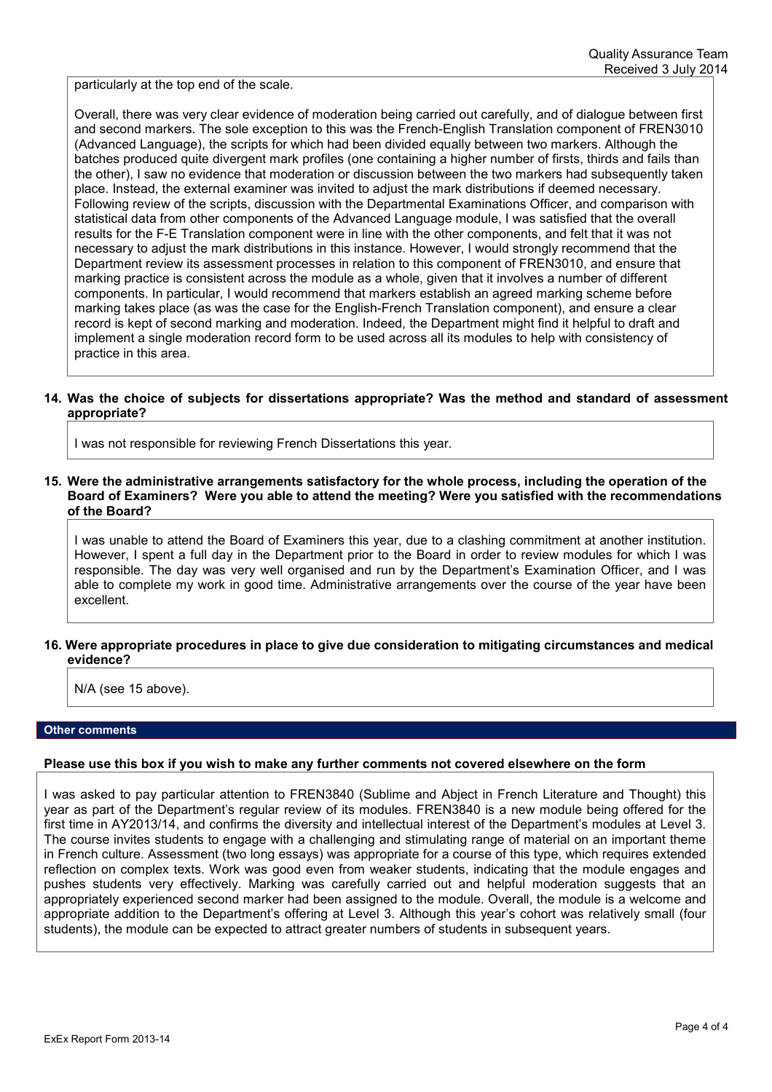particularly at the top end of the scale.

Overall, there was very clear evidence of moderation being carried out carefully, and of dialogue between first and second markers. The sole exception to this was the French-English Translation component of FREN3010 (Advanced Language), the scripts for which had been divided equally between two markers. Although the batches produced quite divergent mark profiles (one containing a higher number of firsts, thirds and fails than the other), I saw no evidence that moderation or discussion between the two markers had subsequently taken place. Instead, the external examiner was invited to adjust the mark distributions if deemed necessary. Following review of the scripts, discussion with the Departmental Examinations Officer, and comparison with statistical data from other components of the Advanced Language module, I was satisfied that the overall results for the F-E Translation component were in line with the other components, and felt that it was not necessary to adjust the mark distributions in this instance. However, I would strongly recommend that the Department review its assessment processes in relation to this component of FREN3010, and ensure that marking practice is consistent across the module as a whole, given that it involves a number of different components. In particular, I would recommend that markers establish an agreed marking scheme before marking takes place (as was the case for the English-French Translation component), and ensure a clear record is kept of second marking and moderation. Indeed, the Department might find it helpful to draft and implement a single moderation record form to be used across all its modules to help with consistency of practice in this area.

## **14. Was the choice of subjects for dissertations appropriate? Was the method and standard of assessment appropriate?**

I was not responsible for reviewing French Dissertations this year.

### **15. Were the administrative arrangements satisfactory for the whole process, including the operation of the Board of Examiners? Were you able to attend the meeting? Were you satisfied with the recommendations of the Board?**

I was unable to attend the Board of Examiners this year, due to a clashing commitment at another institution. However, I spent a full day in the Department prior to the Board in order to review modules for which I was responsible. The day was very well organised and run by the Department's Examination Officer, and I was able to complete my work in good time. Administrative arrangements over the course of the year have been excellent.

## **16. Were appropriate procedures in place to give due consideration to mitigating circumstances and medical evidence?**

N/A (see 15 above).

#### **Other comments**

## **Please use this box if you wish to make any further comments not covered elsewhere on the form**

I was asked to pay particular attention to FREN3840 (Sublime and Abject in French Literature and Thought) this year as part of the Department's regular review of its modules. FREN3840 is a new module being offered for the first time in AY2013/14, and confirms the diversity and intellectual interest of the Department's modules at Level 3. The course invites students to engage with a challenging and stimulating range of material on an important theme in French culture. Assessment (two long essays) was appropriate for a course of this type, which requires extended reflection on complex texts. Work was good even from weaker students, indicating that the module engages and pushes students very effectively. Marking was carefully carried out and helpful moderation suggests that an appropriately experienced second marker had been assigned to the module. Overall, the module is a welcome and appropriate addition to the Department's offering at Level 3. Although this year's cohort was relatively small (four students), the module can be expected to attract greater numbers of students in subsequent years.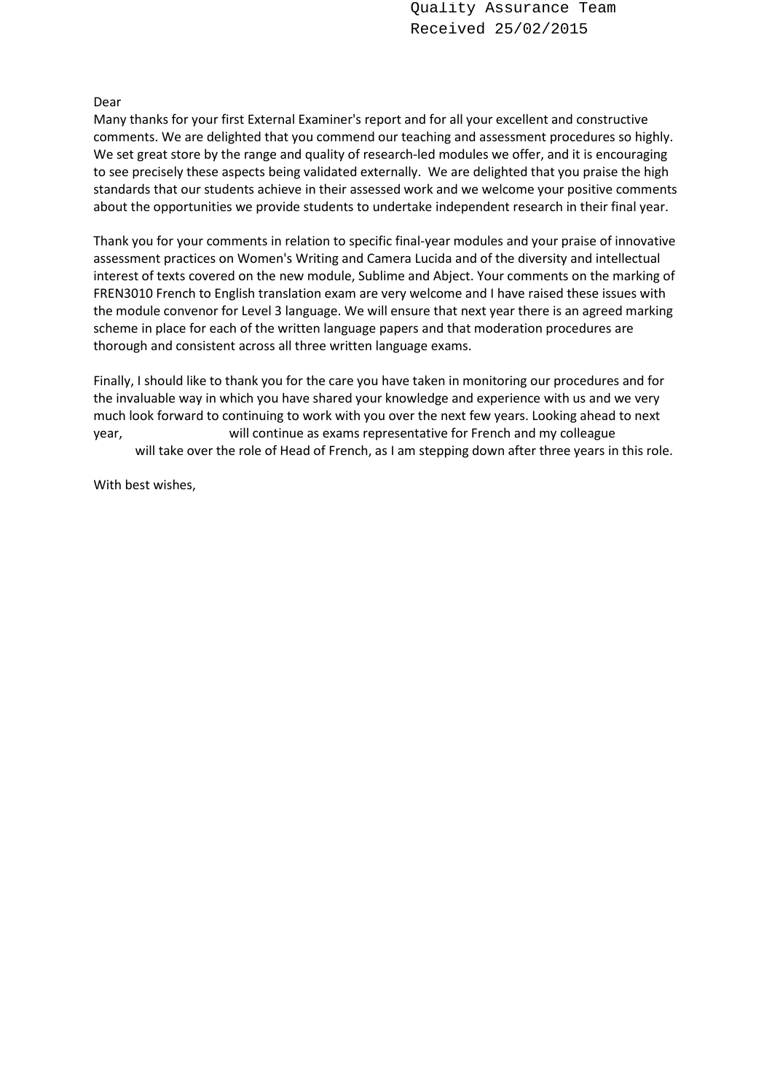Quality Assurance Team Received 25/02/2015

## Dear

Many thanks for your first External Examiner's report and for all your excellent and constructive comments. We are delighted that you commend our teaching and assessment procedures so highly. We set great store by the range and quality of research-led modules we offer, and it is encouraging to see precisely these aspects being validated externally. We are delighted that you praise the high standards that our students achieve in their assessed work and we welcome your positive comments about the opportunities we provide students to undertake independent research in their final year.

Thank you for your comments in relation to specific final-year modules and your praise of innovative assessment practices on Women's Writing and Camera Lucida and of the diversity and intellectual interest of texts covered on the new module, Sublime and Abject. Your comments on the marking of FREN3010 French to English translation exam are very welcome and I have raised these issues with the module convenor for Level 3 language. We will ensure that next year there is an agreed marking scheme in place for each of the written language papers and that moderation procedures are thorough and consistent across all three written language exams.

Finally, I should like to thank you for the care you have taken in monitoring our procedures and for the invaluable way in which you have shared your knowledge and experience with us and we very much look forward to continuing to work with you over the next few years. Looking ahead to next year, will continue as exams representative for French and my colleague will take over the role of Head of French, as I am stepping down after three years in this role.

With best wishes,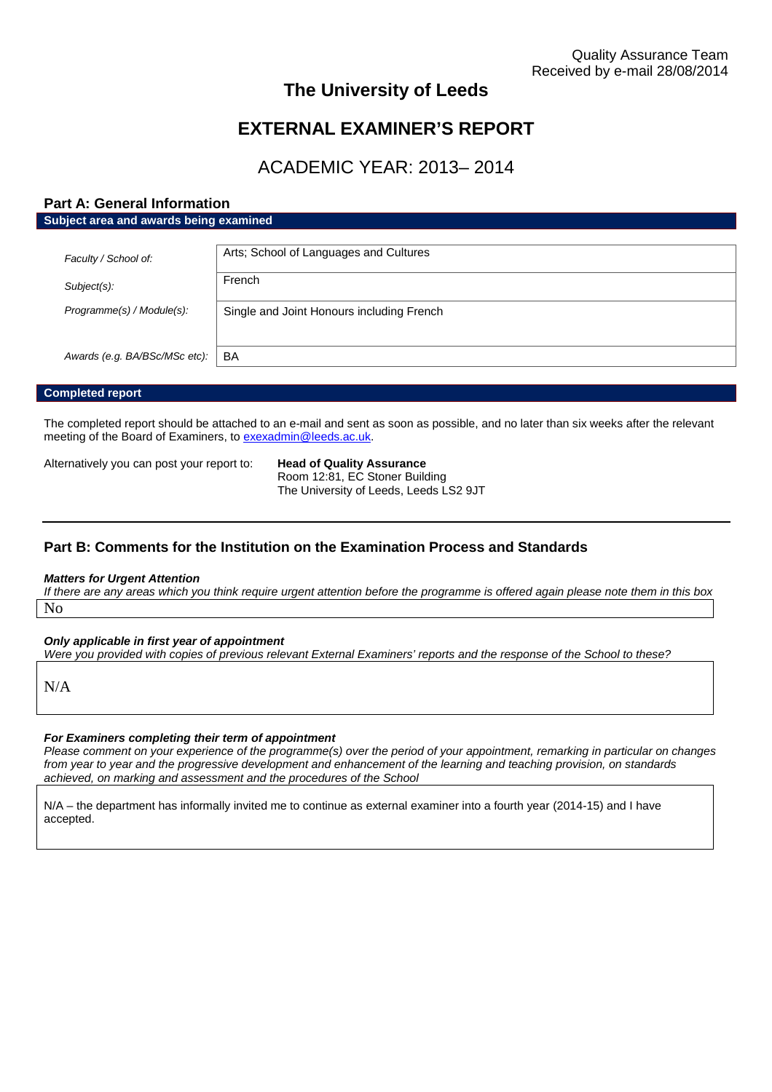## **The University of Leeds**

## **EXTERNAL EXAMINER'S REPORT**

## ACADEMIC YEAR: 2013– 2014

## **Part A: General Information Subject area and awards being examined**

| Faculty / School of:          | Arts; School of Languages and Cultures    |
|-------------------------------|-------------------------------------------|
| Subject(s):                   | French                                    |
| Programme(s) / Module(s):     | Single and Joint Honours including French |
|                               |                                           |
| Awards (e.g. BA/BSc/MSc etc): | BA                                        |

## **Completed report**

The completed report should be attached to an e-mail and sent as soon as possible, and no later than six weeks after the relevant meeting of the Board of Examiners, to [exexadmin@leeds.ac.uk.](mailto:exexadmin@leeds.ac.uk)

Alternatively you can post your report to: **Head of Quality Assurance**

Room 12:81, EC Stoner Building The University of Leeds, Leeds LS2 9JT

## **Part B: Comments for the Institution on the Examination Process and Standards**

#### *Matters for Urgent Attention*

*If there are any areas which you think require urgent attention before the programme is offered again please note them in this box* No

*Only applicable in first year of appointment*

*Were you provided with copies of previous relevant External Examiners' reports and the response of the School to these?*

N/A

#### *For Examiners completing their term of appointment*

*Please comment on your experience of the programme(s) over the period of your appointment, remarking in particular on changes from year to year and the progressive development and enhancement of the learning and teaching provision, on standards achieved, on marking and assessment and the procedures of the School*

N/A – the department has informally invited me to continue as external examiner into a fourth year (2014-15) and I have accepted.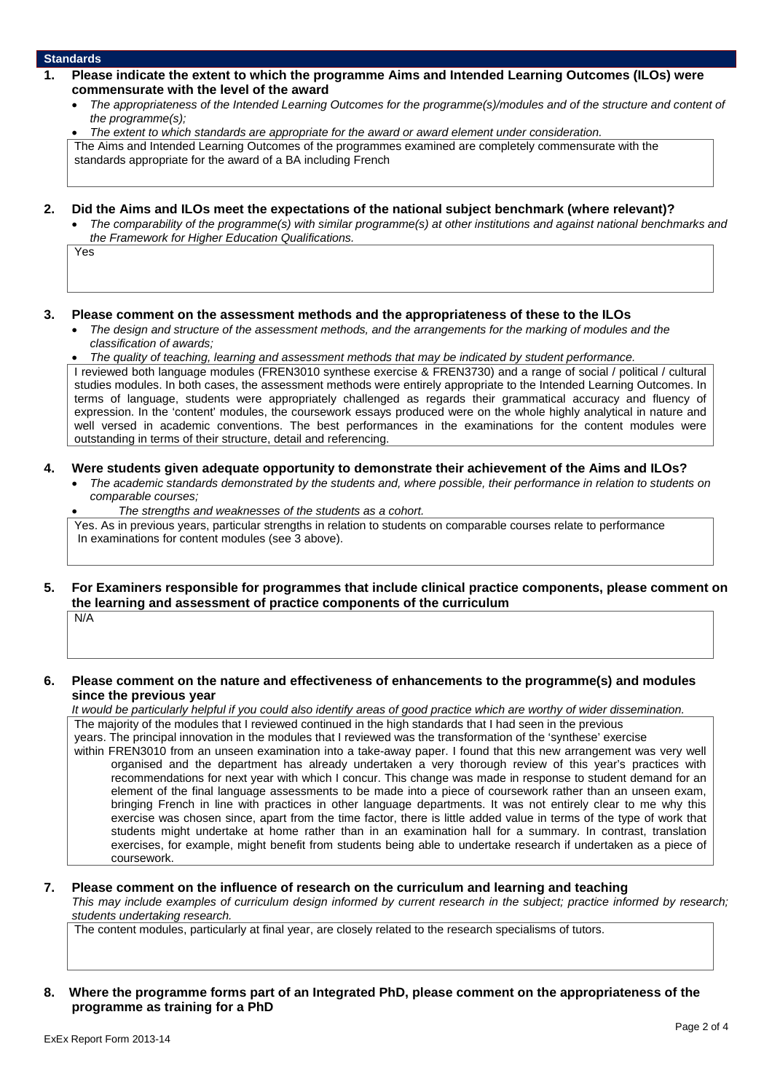### **Standards**

- **1. Please indicate the extent to which the programme Aims and Intended Learning Outcomes (ILOs) were commensurate with the level of the award**
	- *The appropriateness of the Intended Learning Outcomes for the programme(s)/modules and of the structure and content of the programme(s);*
	- *The extent to which standards are appropriate for the award or award element under consideration.*

The Aims and Intended Learning Outcomes of the programmes examined are completely commensurate with the standards appropriate for the award of a BA including French

- **2. Did the Aims and ILOs meet the expectations of the national subject benchmark (where relevant)?**
	- *The comparability of the programme(s) with similar programme(s) at other institutions and against national benchmarks and the Framework for Higher Education Qualifications.*

Yes

#### **3. Please comment on the assessment methods and the appropriateness of these to the ILOs**

- *The design and structure of the assessment methods, and the arrangements for the marking of modules and the classification of awards;*
- *The quality of teaching, learning and assessment methods that may be indicated by student performance.*

I reviewed both language modules (FREN3010 synthese exercise & FREN3730) and a range of social / political / cultural studies modules. In both cases, the assessment methods were entirely appropriate to the Intended Learning Outcomes. In terms of language, students were appropriately challenged as regards their grammatical accuracy and fluency of expression. In the 'content' modules, the coursework essays produced were on the whole highly analytical in nature and well versed in academic conventions. The best performances in the examinations for the content modules were outstanding in terms of their structure, detail and referencing.

#### **4. Were students given adequate opportunity to demonstrate their achievement of the Aims and ILOs?**

- *The academic standards demonstrated by the students and, where possible, their performance in relation to students on comparable courses;*
- *The strengths and weaknesses of the students as a cohort.*

Yes. As in previous years, particular strengths in relation to students on comparable courses relate to performance In examinations for content modules (see 3 above).

## **5. For Examiners responsible for programmes that include clinical practice components, please comment on the learning and assessment of practice components of the curriculum**

N/A

## **6. Please comment on the nature and effectiveness of enhancements to the programme(s) and modules since the previous year**

*It would be particularly helpful if you could also identify areas of good practice which are worthy of wider dissemination.* The majority of the modules that I reviewed continued in the high standards that I had seen in the previous

years. The principal innovation in the modules that I reviewed was the transformation of the 'synthese' exercise within FREN3010 from an unseen examination into a take-away paper. I found that this new arrangement was very well organised and the department has already undertaken a very thorough review of this year's practices with recommendations for next year with which I concur. This change was made in response to student demand for an element of the final language assessments to be made into a piece of coursework rather than an unseen exam, bringing French in line with practices in other language departments. It was not entirely clear to me why this exercise was chosen since, apart from the time factor, there is little added value in terms of the type of work that students might undertake at home rather than in an examination hall for a summary. In contrast, translation exercises, for example, might benefit from students being able to undertake research if undertaken as a piece of coursework.

#### **7. Please comment on the influence of research on the curriculum and learning and teaching**

*This may include examples of curriculum design informed by current research in the subject; practice informed by research; students undertaking research.*

The content modules, particularly at final year, are closely related to the research specialisms of tutors.

## **8. Where the programme forms part of an Integrated PhD, please comment on the appropriateness of the programme as training for a PhD**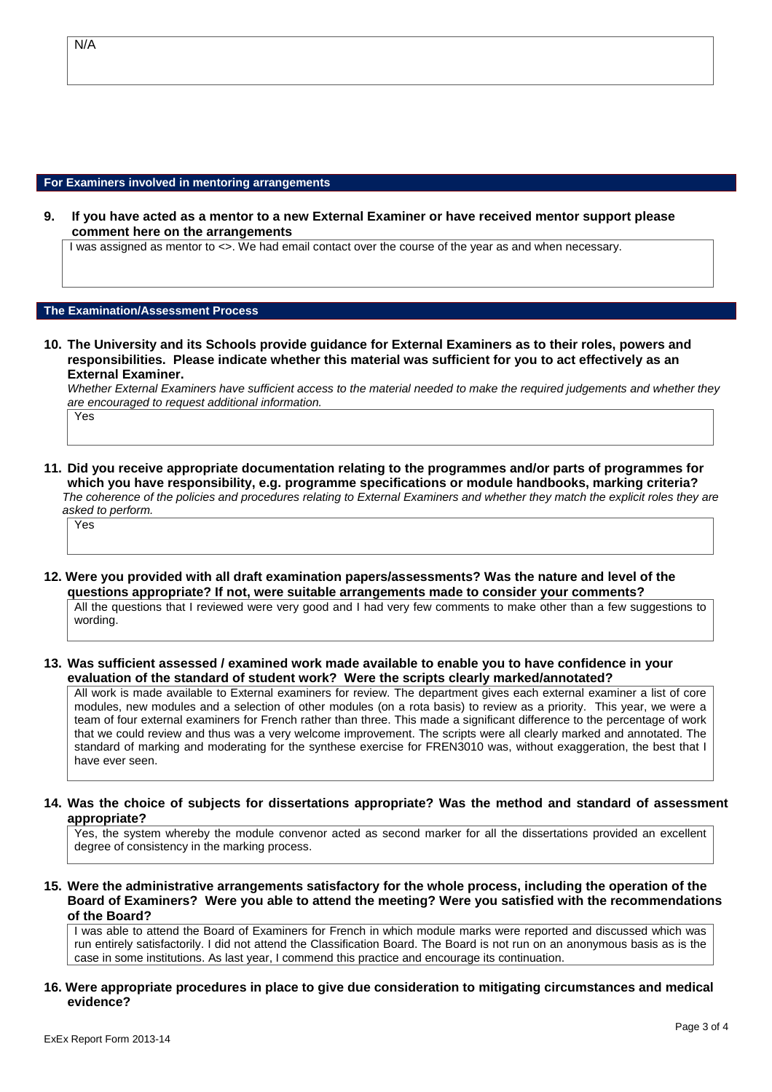#### **For Examiners involved in mentoring arrangements**

**9. If you have acted as a mentor to a new External Examiner or have received mentor support please comment here on the arrangements**

I was assigned as mentor to <>. We had email contact over the course of the year as and when necessary.

## **The Examination/Assessment Process**

**10. The University and its Schools provide guidance for External Examiners as to their roles, powers and responsibilities. Please indicate whether this material was sufficient for you to act effectively as an External Examiner.**

*Whether External Examiners have sufficient access to the material needed to make the required judgements and whether they are encouraged to request additional information.* Yes

**11. Did you receive appropriate documentation relating to the programmes and/or parts of programmes for which you have responsibility, e.g. programme specifications or module handbooks, marking criteria?** *The coherence of the policies and procedures relating to External Examiners and whether they match the explicit roles they are asked to perform.*

Yes

**12. Were you provided with all draft examination papers/assessments? Was the nature and level of the questions appropriate? If not, were suitable arrangements made to consider your comments?**

All the questions that I reviewed were very good and I had very few comments to make other than a few suggestions to wording.

**13. Was sufficient assessed / examined work made available to enable you to have confidence in your evaluation of the standard of student work? Were the scripts clearly marked/annotated?**

All work is made available to External examiners for review. The department gives each external examiner a list of core modules, new modules and a selection of other modules (on a rota basis) to review as a priority. This year, we were a team of four external examiners for French rather than three. This made a significant difference to the percentage of work that we could review and thus was a very welcome improvement. The scripts were all clearly marked and annotated. The standard of marking and moderating for the synthese exercise for FREN3010 was, without exaggeration, the best that I have ever seen.

**14. Was the choice of subjects for dissertations appropriate? Was the method and standard of assessment appropriate?**

Yes, the system whereby the module convenor acted as second marker for all the dissertations provided an excellent degree of consistency in the marking process.

**15. Were the administrative arrangements satisfactory for the whole process, including the operation of the Board of Examiners? Were you able to attend the meeting? Were you satisfied with the recommendations of the Board?**

I was able to attend the Board of Examiners for French in which module marks were reported and discussed which was run entirely satisfactorily. I did not attend the Classification Board. The Board is not run on an anonymous basis as is the case in some institutions. As last year, I commend this practice and encourage its continuation.

**16. Were appropriate procedures in place to give due consideration to mitigating circumstances and medical evidence?**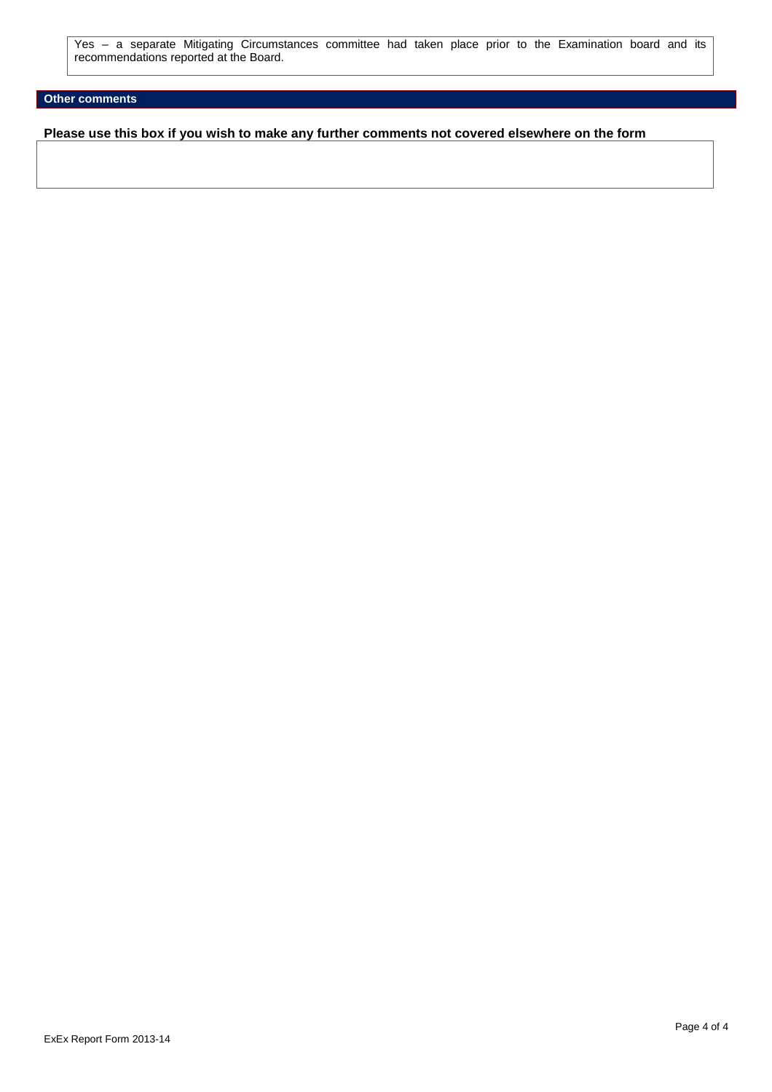Yes – a separate Mitigating Circumstances committee had taken place prior to the Examination board and its recommendations reported at the Board.

## **Other comments**

**Please use this box if you wish to make any further comments not covered elsewhere on the form**